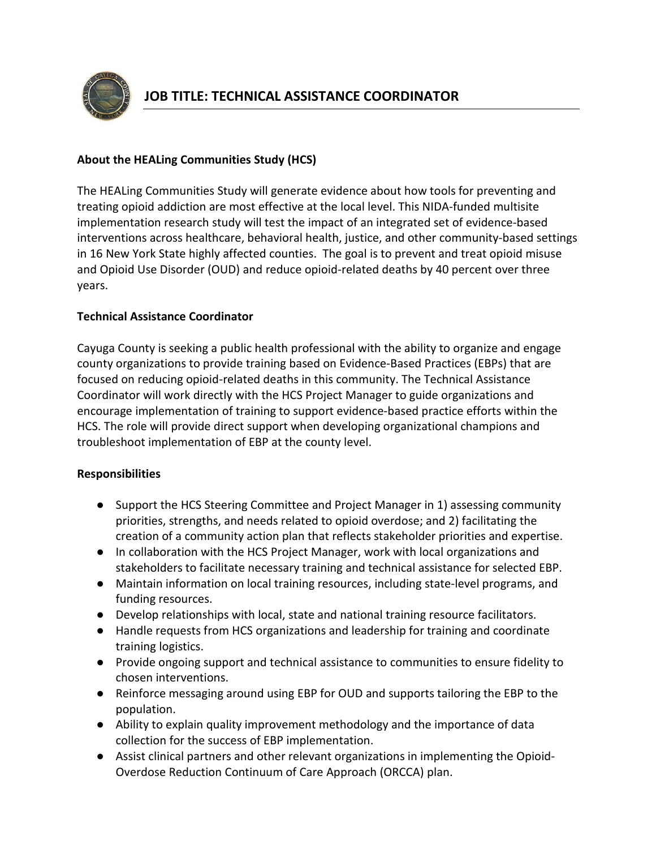

## **About the HEALing Communities Study (HCS)**

The HEALing [Communities Study](https://www.nih.gov/news-events/news-releases/nih-funds-study-four-states-reduce-opioid-related-deaths-40-percent-over-three-years) will generate evidence about how tools for preventing and treating opioid addiction are most effective at the local level. This NIDA-funded multisite implementation research study will test the impact of an integrated set of evidence-based interventions across healthcare, behavioral health, justice, and other community-based settings in 16 New York State highly affected counties. The goal is to prevent and treat opioid misuse and Opioid Use Disorder (OUD) and reduce opioid-related deaths by 40 percent over three years.

## **Technical Assistance Coordinator**

Cayuga County is seeking a public health professional with the ability to organize and engage county organizations to provide training based on Evidence-Based Practices (EBPs) that are focused on reducing opioid-related deaths in this community. The Technical Assistance Coordinator will work directly with the HCS Project Manager to guide organizations and encourage implementation of training to support evidence-based practice efforts within the HCS. The role will provide direct support when developing organizational champions and troubleshoot implementation of EBP at the county level.

## **Responsibilities**

- Support the HCS Steering Committee and Project Manager in 1) assessing community priorities, strengths, and needs related to opioid overdose; and 2) facilitating the creation of a community action plan that reflects stakeholder priorities and expertise.
- In collaboration with the HCS Project Manager, work with local organizations and stakeholders to facilitate necessary training and technical assistance for selected EBP.
- Maintain information on local training resources, including state-level programs, and funding resources.
- Develop relationships with local, state and national training resource facilitators.
- Handle requests from HCS organizations and leadership for training and coordinate training logistics.
- Provide ongoing support and technical assistance to communities to ensure fidelity to chosen interventions.
- Reinforce messaging around using EBP for OUD and supports tailoring the EBP to the population.
- Ability to explain quality improvement methodology and the importance of data collection for the success of EBP implementation.
- Assist clinical partners and other relevant organizations in implementing the Opioid-Overdose Reduction Continuum of Care Approach (ORCCA) plan.